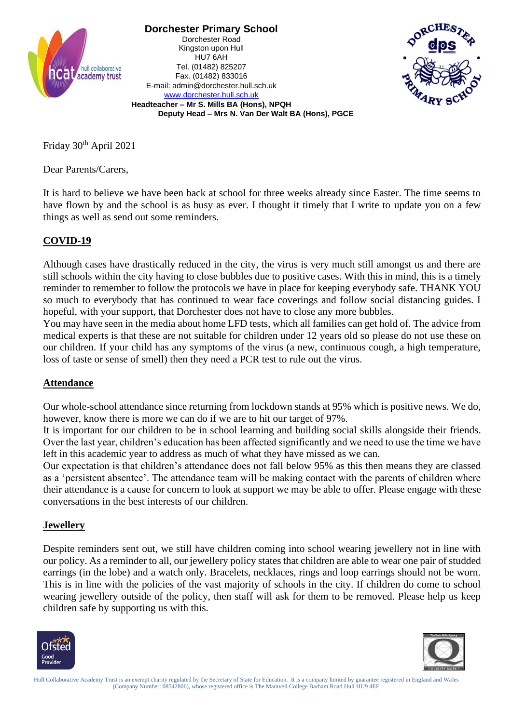

**Dorchester Primary School** Dorchester Road Kingston upon Hull HU7 6AH Tel. (01482) 825207 Fax. (01482) 833016 E-mail: admin@dorchester.hull.sch.uk [www.dorchester.hull.sch.uk](http://www.dorchester.hull.sch.uk/)



**Headteacher – Mr S. Mills BA (Hons), NPQH Deputy Head – Mrs N. Van Der Walt BA (Hons), PGCE**

Friday 30th April 2021

Dear Parents/Carers,

It is hard to believe we have been back at school for three weeks already since Easter. The time seems to have flown by and the school is as busy as ever. I thought it timely that I write to update you on a few things as well as send out some reminders.

# **COVID-19**

Although cases have drastically reduced in the city, the virus is very much still amongst us and there are still schools within the city having to close bubbles due to positive cases. With this in mind, this is a timely reminder to remember to follow the protocols we have in place for keeping everybody safe. THANK YOU so much to everybody that has continued to wear face coverings and follow social distancing guides. I hopeful, with your support, that Dorchester does not have to close any more bubbles.

You may have seen in the media about home LFD tests, which all families can get hold of. The advice from medical experts is that these are not suitable for children under 12 years old so please do not use these on our children. If your child has any symptoms of the virus (a new, continuous cough, a high temperature, loss of taste or sense of smell) then they need a PCR test to rule out the virus.

# **Attendance**

Our whole-school attendance since returning from lockdown stands at 95% which is positive news. We do, however, know there is more we can do if we are to hit our target of 97%.

It is important for our children to be in school learning and building social skills alongside their friends. Over the last year, children's education has been affected significantly and we need to use the time we have left in this academic year to address as much of what they have missed as we can.

Our expectation is that children's attendance does not fall below 95% as this then means they are classed as a 'persistent absentee'. The attendance team will be making contact with the parents of children where their attendance is a cause for concern to look at support we may be able to offer. Please engage with these conversations in the best interests of our children.

#### **Jewellery**

Despite reminders sent out, we still have children coming into school wearing jewellery not in line with our policy. As a reminder to all, our jewellery policy states that children are able to wear one pair of studded earrings (in the lobe) and a watch only. Bracelets, necklaces, rings and loop earrings should not be worn. This is in line with the policies of the vast majority of schools in the city. If children do come to school wearing jewellery outside of the policy, then staff will ask for them to be removed. Please help us keep children safe by supporting us with this.